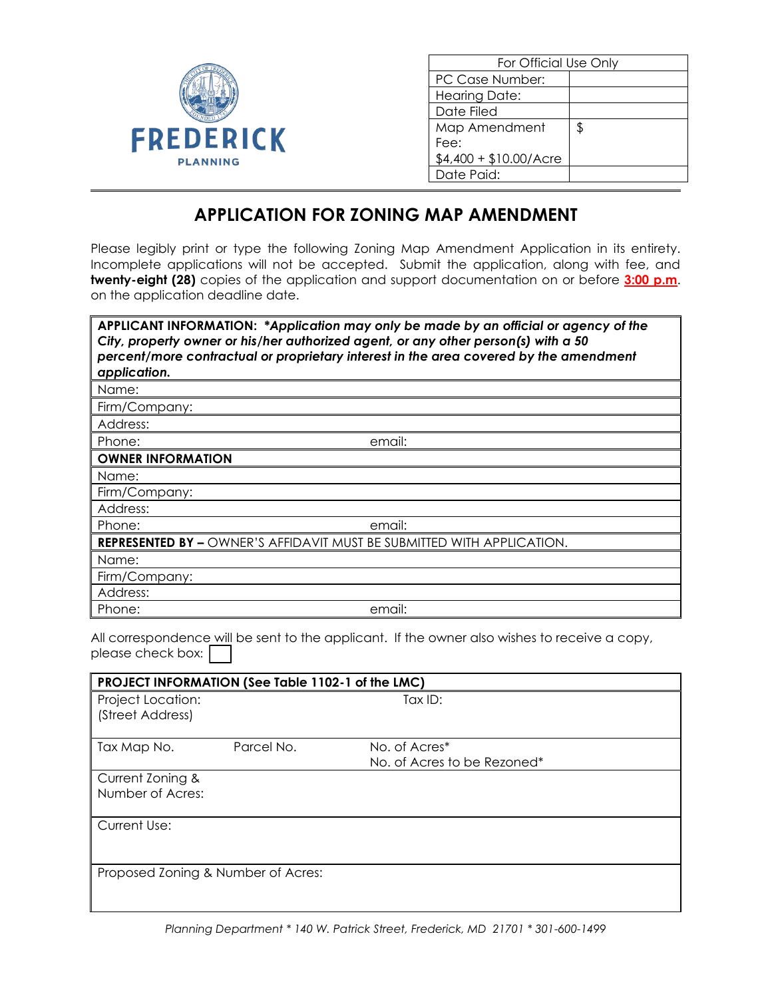

| For Official Use Only   |    |  |  |
|-------------------------|----|--|--|
| PC Case Number:         |    |  |  |
| Hearing Date:           |    |  |  |
| Date Filed              |    |  |  |
| Map Amendment           | \$ |  |  |
| Fee:                    |    |  |  |
| $$4,400 + $10.00/A$ cre |    |  |  |
| Date Paid:              |    |  |  |

## **APPLICATION FOR ZONING MAP AMENDMENT**

Please legibly print or type the following Zoning Map Amendment Application in its entirety. Incomplete applications will not be accepted. Submit the application, along with fee, and **twenty-eight (28)** copies of the application and support documentation on or before **3:00 p.m**. on the application deadline date.

| APPLICANT INFORMATION: *Application may only be made by an official or agency of the<br>City, property owner or his/her authorized agent, or any other person(s) with a 50<br>percent/more contractual or proprietary interest in the area covered by the amendment<br>application. |                                                                               |  |  |  |  |
|-------------------------------------------------------------------------------------------------------------------------------------------------------------------------------------------------------------------------------------------------------------------------------------|-------------------------------------------------------------------------------|--|--|--|--|
| Name:                                                                                                                                                                                                                                                                               |                                                                               |  |  |  |  |
| Firm/Company:                                                                                                                                                                                                                                                                       |                                                                               |  |  |  |  |
| Address:                                                                                                                                                                                                                                                                            |                                                                               |  |  |  |  |
| Phone:                                                                                                                                                                                                                                                                              | email:                                                                        |  |  |  |  |
| <b>OWNER INFORMATION</b>                                                                                                                                                                                                                                                            |                                                                               |  |  |  |  |
| Name:                                                                                                                                                                                                                                                                               |                                                                               |  |  |  |  |
| Firm/Company:                                                                                                                                                                                                                                                                       |                                                                               |  |  |  |  |
| Address:                                                                                                                                                                                                                                                                            |                                                                               |  |  |  |  |
| Phone:                                                                                                                                                                                                                                                                              | email:                                                                        |  |  |  |  |
|                                                                                                                                                                                                                                                                                     | <b>REPRESENTED BY – OWNER'S AFFIDAVIT MUST BE SUBMITTED WITH APPLICATION.</b> |  |  |  |  |
| Name:                                                                                                                                                                                                                                                                               |                                                                               |  |  |  |  |
| Firm/Company:                                                                                                                                                                                                                                                                       |                                                                               |  |  |  |  |
| Address:                                                                                                                                                                                                                                                                            |                                                                               |  |  |  |  |
| Phone:                                                                                                                                                                                                                                                                              | email:                                                                        |  |  |  |  |

All correspondence will be sent to the applicant. If the owner also wishes to receive a copy, please check box:  $[$ 

| PROJECT INFORMATION (See Table 1102-1 of the LMC) |            |                             |  |  |
|---------------------------------------------------|------------|-----------------------------|--|--|
| Project Location:                                 |            | Tax $ID:$                   |  |  |
| (Street Address)                                  |            |                             |  |  |
| Tax Map No.                                       | Parcel No. | No. of Acres*               |  |  |
|                                                   |            | No. of Acres to be Rezoned* |  |  |
| Current Zoning &                                  |            |                             |  |  |
| Number of Acres:                                  |            |                             |  |  |
| Current Use:                                      |            |                             |  |  |
|                                                   |            |                             |  |  |
| Proposed Zoning & Number of Acres:                |            |                             |  |  |
|                                                   |            |                             |  |  |